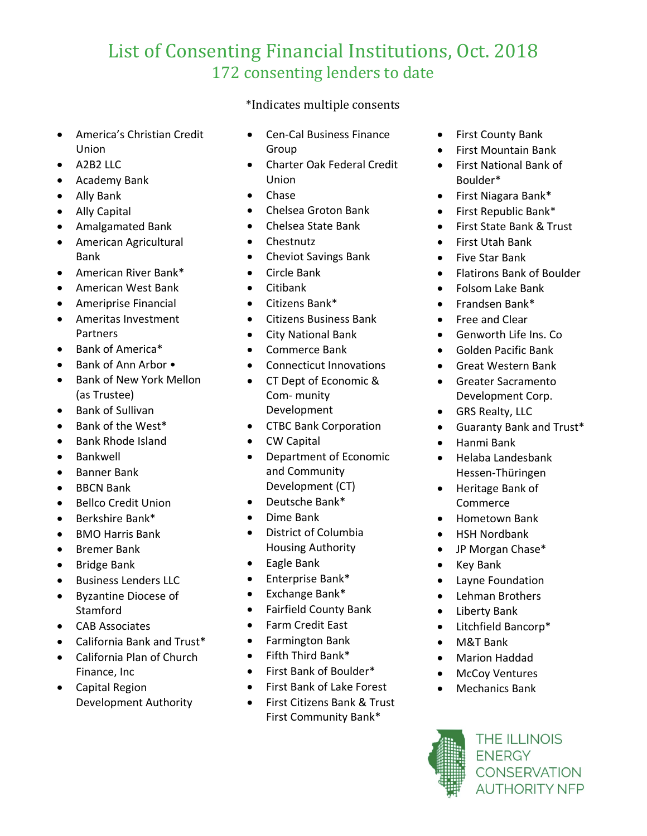## List of Consenting Financial Institutions, Oct. 2018 172 consenting lenders to date

\*Indicates multiple consents

- America's Christian Credit Union
- A2B2 LLC
- Academy Bank
- Ally Bank
- Ally Capital
- Amalgamated Bank
- American Agricultural Bank
- American River Bank\*
- American West Bank
- Ameriprise Financial
- Ameritas Investment Partners
- Bank of America\*
- Bank of Ann Arbor •
- Bank of New York Mellon (as Trustee)
- Bank of Sullivan
- Bank of the West\*
- Bank Rhode Island
- **Bankwell**
- Banner Bank
- **BBCN Bank**
- Bellco Credit Union
- Berkshire Bank\*
- BMO Harris Bank
- Bremer Bank
- Bridge Bank
- Business Lenders LLC
- Byzantine Diocese of Stamford
- CAB Associates
- California Bank and Trust\*
- California Plan of Church Finance, Inc
- Capital Region Development Authority
- Cen-Cal Business Finance Group
- Charter Oak Federal Credit Union
- Chase
- Chelsea Groton Bank
- Chelsea State Bank
- Chestnutz
- Cheviot Savings Bank
- Circle Bank
- Citibank
- Citizens Bank\*
- Citizens Business Bank
- City National Bank
- Commerce Bank
- Connecticut Innovations
- CT Dept of Economic & Com- munity Development
- CTBC Bank Corporation
- CW Capital
- Department of Economic and Community Development (CT)
- Deutsche Bank\*
- Dime Bank
- District of Columbia Housing Authority
- Eagle Bank
- Enterprise Bank\*
- Exchange Bank\*
- Fairfield County Bank
- Farm Credit East
- Farmington Bank
- Fifth Third Bank\*
- First Bank of Boulder\*
- First Bank of Lake Forest
- First Citizens Bank & Trust First Community Bank\*
- First County Bank
- First Mountain Bank
- First National Bank of Boulder\*
- First Niagara Bank\*
- First Republic Bank\*
- First State Bank & Trust
- First Utah Bank
- Five Star Bank
- Flatirons Bank of Boulder
- Folsom Lake Bank
- Frandsen Bank\*
- Free and Clear
- Genworth Life Ins. Co
- Golden Pacific Bank
- Great Western Bank
- Greater Sacramento Development Corp.
- GRS Realty, LLC
- Guaranty Bank and Trust\*
- Hanmi Bank
- Helaba Landesbank Hessen-Thüringen
- Heritage Bank of Commerce
- Hometown Bank
- HSH Nordbank
- JP Morgan Chase\*
- Key Bank
- Layne Foundation
- Lehman Brothers
- Liberty Bank
- Litchfield Bancorp\*
- M&T Bank
- Marion Haddad
- **McCoy Ventures**
- Mechanics Bank